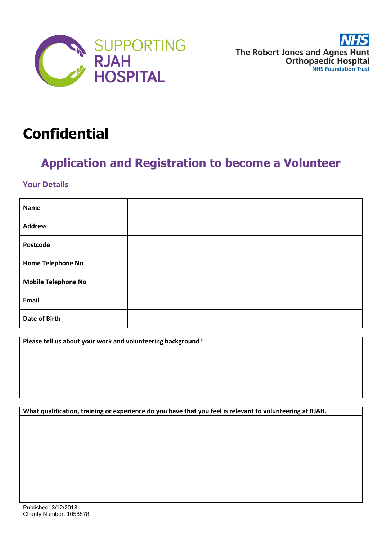

# **Confidential**

# **Application and Registration to become a Volunteer**

### **Your Details**

| <b>Name</b>                |  |
|----------------------------|--|
| <b>Address</b>             |  |
| Postcode                   |  |
| <b>Home Telephone No</b>   |  |
| <b>Mobile Telephone No</b> |  |
| Email                      |  |
| <b>Date of Birth</b>       |  |

**Please tell us about your work and volunteering background?**

**What qualification, training or experience do you have that you feel is relevant to volunteering at RJAH.**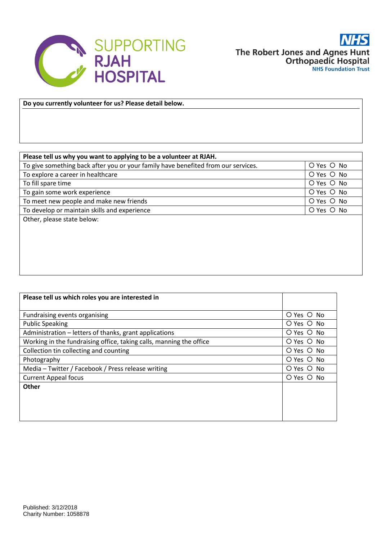

**Do you currently volunteer for us? Please detail below.**

| Please tell us why you want to applying to be a volunteer at RJAH.                |                |
|-----------------------------------------------------------------------------------|----------------|
| To give something back after you or your family have benefited from our services. | $O$ Yes $O$ No |
| To explore a career in healthcare                                                 | O Yes O No     |
| To fill spare time                                                                | O Yes O No     |
| To gain some work experience                                                      | $O$ Yes $O$ No |
| To meet new people and make new friends                                           | O Yes O No     |
| To develop or maintain skills and experience                                      | O Yes O No     |
| Other, please state below:                                                        |                |
|                                                                                   |                |
|                                                                                   |                |
|                                                                                   |                |
|                                                                                   |                |
|                                                                                   |                |
|                                                                                   |                |

| Please tell us which roles you are interested in                    |                |
|---------------------------------------------------------------------|----------------|
|                                                                     |                |
| Fundraising events organising                                       | $O$ Yes $O$ No |
| <b>Public Speaking</b>                                              | $O$ Yes $O$ No |
| Administration – letters of thanks, grant applications              | O Yes O No     |
| Working in the fundraising office, taking calls, manning the office | O Yes O No     |
| Collection tin collecting and counting                              | O Yes O No     |
| Photography                                                         | O Yes O No     |
| Media – Twitter / Facebook / Press release writing                  | O Yes O No     |
| <b>Current Appeal focus</b>                                         | $O$ Yes $O$ No |
| <b>Other</b>                                                        |                |
|                                                                     |                |
|                                                                     |                |
|                                                                     |                |
|                                                                     |                |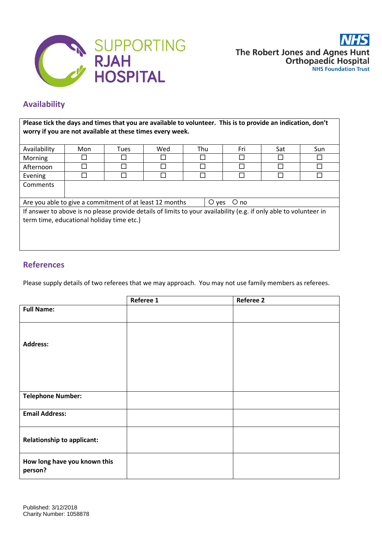

## **Availability**

**Please tick the days and times that you are available to volunteer. This is to provide an indication, don't worry if you are not available at these times every week.**

| Availability                                                                                                      | Mon | <b>Tues</b> | Wed | Thu | Fri | Sat | Sun    |
|-------------------------------------------------------------------------------------------------------------------|-----|-------------|-----|-----|-----|-----|--------|
| Morning                                                                                                           |     |             |     |     |     |     | $\sim$ |
| Afternoon                                                                                                         |     | П           |     |     |     |     | □      |
| Evening                                                                                                           |     |             |     |     |     |     |        |
| Comments                                                                                                          |     |             |     |     |     |     |        |
|                                                                                                                   |     |             |     |     |     |     |        |
| Are you able to give a commitment of at least 12 months<br>$\bigcirc$ yes<br>O no                                 |     |             |     |     |     |     |        |
| If answer to above is no please provide details of limits to your availability (e.g. if only able to volunteer in |     |             |     |     |     |     |        |
| term time, educational holiday time etc.)                                                                         |     |             |     |     |     |     |        |
|                                                                                                                   |     |             |     |     |     |     |        |
|                                                                                                                   |     |             |     |     |     |     |        |
|                                                                                                                   |     |             |     |     |     |     |        |

#### **References**

Please supply details of two referees that we may approach. You may not use family members as referees.

|                                         | Referee 1 | <b>Referee 2</b> |
|-----------------------------------------|-----------|------------------|
| <b>Full Name:</b>                       |           |                  |
|                                         |           |                  |
| <b>Address:</b>                         |           |                  |
|                                         |           |                  |
|                                         |           |                  |
| <b>Telephone Number:</b>                |           |                  |
| <b>Email Address:</b>                   |           |                  |
| <b>Relationship to applicant:</b>       |           |                  |
| How long have you known this<br>person? |           |                  |